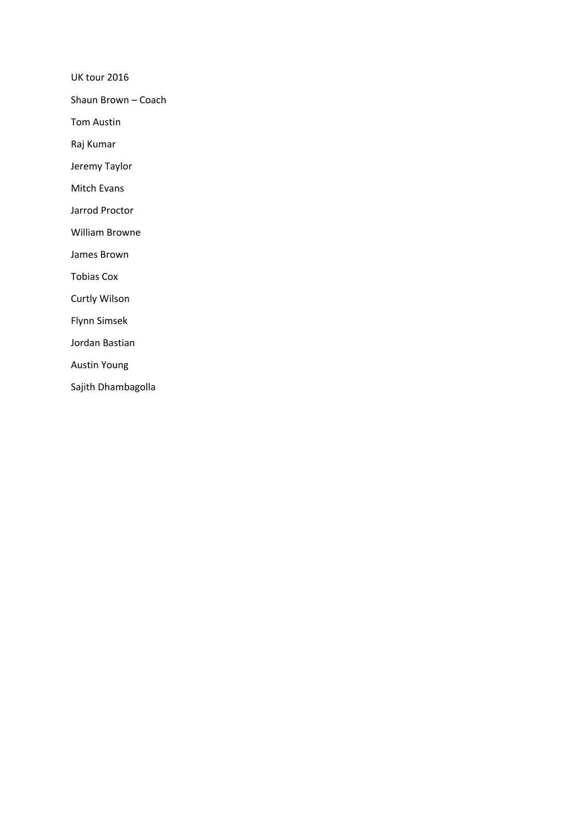UK tour 2016

Shaun Brown – Coach

Tom Austin

Raj Kumar

Jeremy Taylor

Mitch Evans

Jarrod Proctor

William Browne

James Brown

Tobias Cox

Curtly Wilson

Flynn Simsek

Jordan Bastian

Austin Young

Sajith Dhambagolla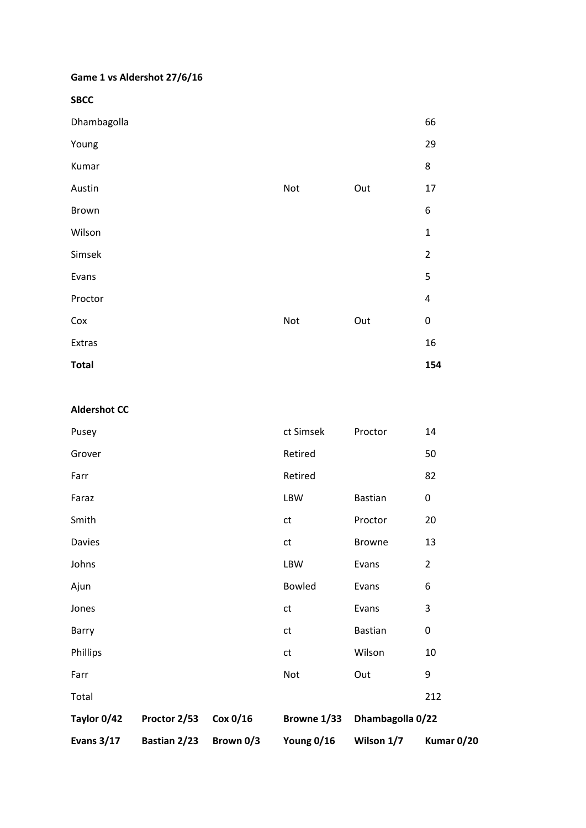### **Game 1 vs Aldershot 27/6/16**

**SBCC** 

|     |     | 66             |
|-----|-----|----------------|
|     |     | 29             |
|     |     | 8              |
| Not | Out | 17             |
|     |     | 6              |
|     |     | $\mathbf 1$    |
|     |     | $\overline{2}$ |
|     |     | 5              |
|     |     | 4              |
| Not | Out | $\pmb{0}$      |
|     |     | 16             |
|     |     | 154            |
|     |     |                |

**Aldershot CC** 

| <b>Evans 3/17</b> | Bastian 2/23 | Brown 0/3 | Young 0/16    | Wilson 1/7       | Kumar 0/20     |
|-------------------|--------------|-----------|---------------|------------------|----------------|
| Taylor 0/42       | Proctor 2/53 | Cox 0/16  | Browne 1/33   | Dhambagolla 0/22 |                |
| Total             |              |           |               |                  | 212            |
| Farr              |              |           | <b>Not</b>    | Out              | 9              |
| Phillips          |              |           | ct            | Wilson           | 10             |
| Barry             |              |           | ct            | <b>Bastian</b>   | 0              |
| Jones             |              |           | $\mathsf{ct}$ | Evans            | 3              |
| Ajun              |              |           | <b>Bowled</b> | Evans            | 6              |
| Johns             |              |           | LBW           | Evans            | $\overline{2}$ |
| Davies            |              |           | ${\sf ct}$    | <b>Browne</b>    | 13             |
| Smith             |              |           | ct            | Proctor          | 20             |
| Faraz             |              |           | LBW           | Bastian          | 0              |
| Farr              |              |           | Retired       |                  | 82             |
| Grover            |              |           | Retired       |                  | 50             |
| Pusey             |              |           | ct Simsek     | Proctor          | 14             |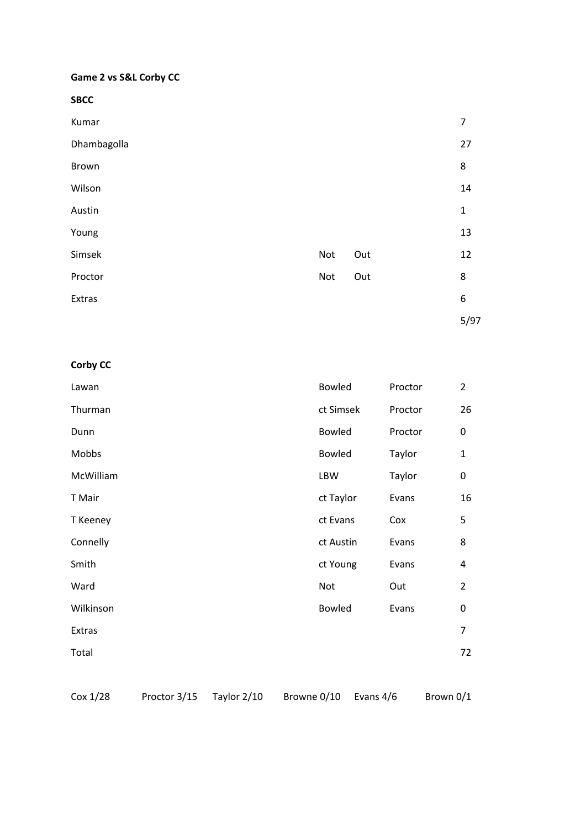# **Game 2 vs S&L Corby CC**

**SBCC** 

| Kumar       |            |     | 7            |
|-------------|------------|-----|--------------|
| Dhambagolla |            |     | 27           |
| Brown       |            |     | 8            |
| Wilson      |            |     | 14           |
| Austin      |            |     | $\mathbf{1}$ |
| Young       |            |     | 13           |
| Simsek      | Not        | Out | 12           |
| Proctor     | <b>Not</b> | Out | 8            |
| Extras      |            |     | 6            |
|             |            |     | 5/97         |

# **Corby CC**

| Lawan     | Bowled        | Proctor | $\overline{2}$ |
|-----------|---------------|---------|----------------|
| Thurman   | ct Simsek     | Proctor | 26             |
| Dunn      | <b>Bowled</b> | Proctor | 0              |
| Mobbs     | <b>Bowled</b> | Taylor  | $\mathbf{1}$   |
| McWilliam | LBW           | Taylor  | $\pmb{0}$      |
| T Mair    | ct Taylor     | Evans   | 16             |
| T Keeney  | ct Evans      | Cox     | 5              |
| Connelly  | ct Austin     | Evans   | 8              |
| Smith     | ct Young      | Evans   | 4              |
| Ward      | Not           | Out     | $\overline{2}$ |
| Wilkinson | <b>Bowled</b> | Evans   | 0              |
| Extras    |               |         | $\overline{7}$ |
| Total     |               |         | 72             |
|           |               |         |                |

Cox 1/28 Proctor 3/15 Taylor 2/10 Browne 0/10 Evans 4/6 Brown 0/1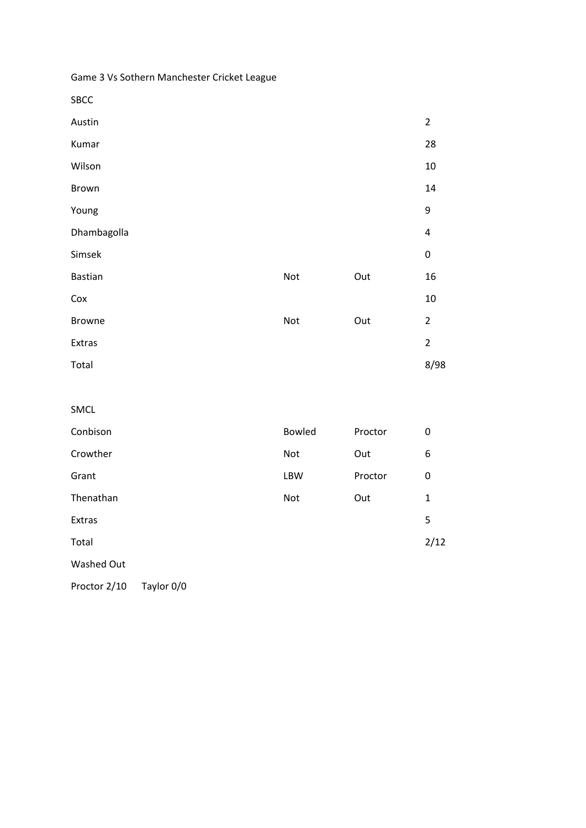Game 3 Vs Sothern Manchester Cricket League

SBCC

| Austin         |     |     | $\overline{2}$ |
|----------------|-----|-----|----------------|
| Kumar          |     |     | 28             |
| Wilson         |     |     | $10\,$         |
| <b>Brown</b>   |     |     | 14             |
| Young          |     |     | 9              |
| Dhambagolla    |     |     | $\overline{4}$ |
| Simsek         |     |     | $\pmb{0}$      |
| <b>Bastian</b> | Not | Out | 16             |
| Cox            |     |     | $10\,$         |
| <b>Browne</b>  | Not | Out | $\overline{2}$ |
| Extras         |     |     | $\overline{2}$ |
| Total          |     |     | 8/98           |

SMCL

| Conbison   | <b>Bowled</b> | Proctor | 0    |
|------------|---------------|---------|------|
| Crowther   | Not           | Out     | 6    |
| Grant      | <b>LBW</b>    | Proctor | 0    |
| Thenathan  | Not           | Out     | 1    |
| Extras     |               |         | 5    |
| Total      |               |         | 2/12 |
| Washed Out |               |         |      |

Proctor 2/10 Taylor 0/0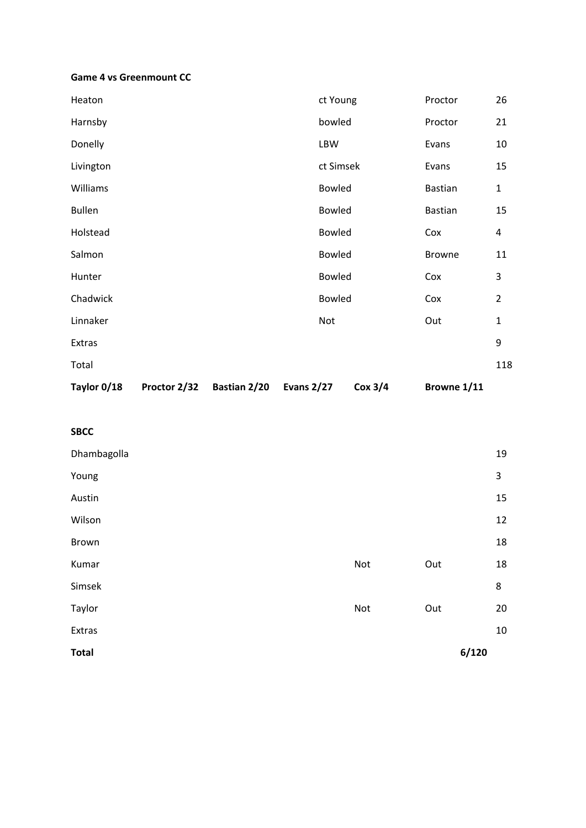#### **Game 4 vs Greenmount CC**

| Taylor 0/18   | Proctor 2/32 | Bastian 2/20 | <b>Evans 2/27</b> | Cox 3/4 | Browne 1/11   |                |
|---------------|--------------|--------------|-------------------|---------|---------------|----------------|
| Total         |              |              |                   |         |               | 118            |
| Extras        |              |              |                   |         |               | 9              |
| Linnaker      |              |              | Not               |         | Out           | $\mathbf{1}$   |
| Chadwick      |              |              | Bowled            |         | Cox           | $\overline{2}$ |
| Hunter        |              |              | <b>Bowled</b>     |         | Cox           | 3              |
| Salmon        |              |              | <b>Bowled</b>     |         | <b>Browne</b> | 11             |
| Holstead      |              |              | <b>Bowled</b>     |         | Cox           | 4              |
| <b>Bullen</b> |              |              | <b>Bowled</b>     |         | Bastian       | 15             |
| Williams      |              |              | <b>Bowled</b>     |         | Bastian       | $\mathbf{1}$   |
| Livington     |              |              | ct Simsek         |         | Evans         | 15             |
| Donelly       |              |              | <b>LBW</b>        |         | Evans         | 10             |
| Harnsby       |              |              | bowled            |         | Proctor       | 21             |
| Heaton        |              | ct Young     |                   |         | Proctor       | 26             |

#### **SBCC**

| Dhambagolla  |     |     | 19    |
|--------------|-----|-----|-------|
| Young        |     |     | 3     |
| Austin       |     |     | 15    |
| Wilson       |     |     | 12    |
| Brown        |     |     | 18    |
| Kumar        | Not | Out | 18    |
| Simsek       |     |     | 8     |
| Taylor       | Not | Out | 20    |
| Extras       |     |     | 10    |
| <b>Total</b> |     |     | 6/120 |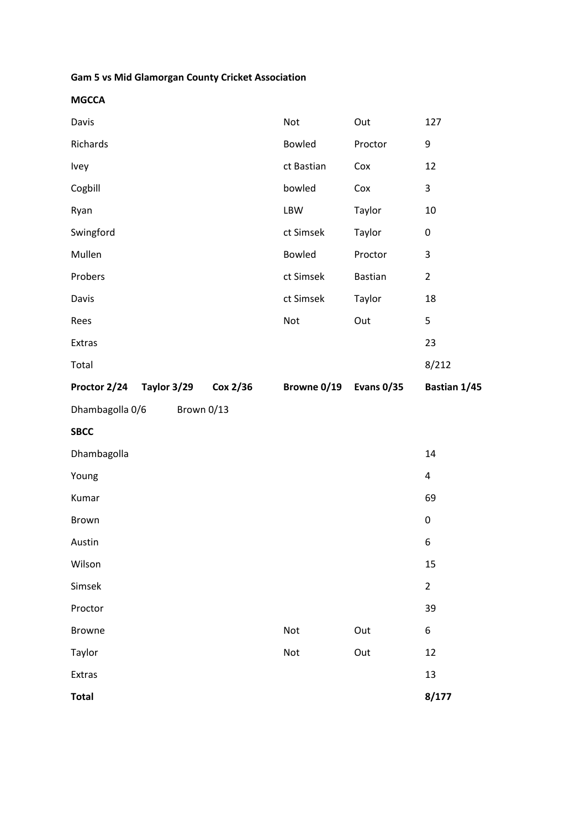# **Gam 5 vs Mid Glamorgan County Cricket Association**

**MGCCA** 

| Davis                                | Not           | Out               | 127                     |
|--------------------------------------|---------------|-------------------|-------------------------|
| Richards                             | Bowled        | Proctor           | 9                       |
| Ivey                                 | ct Bastian    | Cox               | 12                      |
| Cogbill                              | bowled        | Cox               | 3                       |
| Ryan                                 | LBW           | Taylor            | 10                      |
| Swingford                            | ct Simsek     | Taylor            | 0                       |
| Mullen                               | <b>Bowled</b> | Proctor           | 3                       |
| Probers                              | ct Simsek     | Bastian           | $\overline{2}$          |
| Davis                                | ct Simsek     | Taylor            | 18                      |
| Rees                                 | Not           | Out               | 5                       |
| Extras                               |               |                   | 23                      |
| Total                                |               |                   | 8/212                   |
| Proctor 2/24 Taylor 3/29<br>Cox 2/36 | Browne 0/19   | <b>Evans 0/35</b> | Bastian 1/45            |
| Dhambagolla 0/6<br>Brown 0/13        |               |                   |                         |
|                                      |               |                   |                         |
| <b>SBCC</b>                          |               |                   |                         |
| Dhambagolla                          |               |                   | 14                      |
| Young                                |               |                   | $\overline{\mathbf{4}}$ |
| Kumar                                |               |                   | 69                      |
| Brown                                |               |                   | $\pmb{0}$               |
| Austin                               |               |                   | 6                       |
| Wilson                               |               |                   | 15                      |
| Simsek                               |               |                   | $\overline{2}$          |
| Proctor                              |               |                   | 39                      |
| <b>Browne</b>                        | Not           | Out               | 6                       |
| Taylor                               | Not           | Out               | 12                      |
| Extras                               |               |                   | 13                      |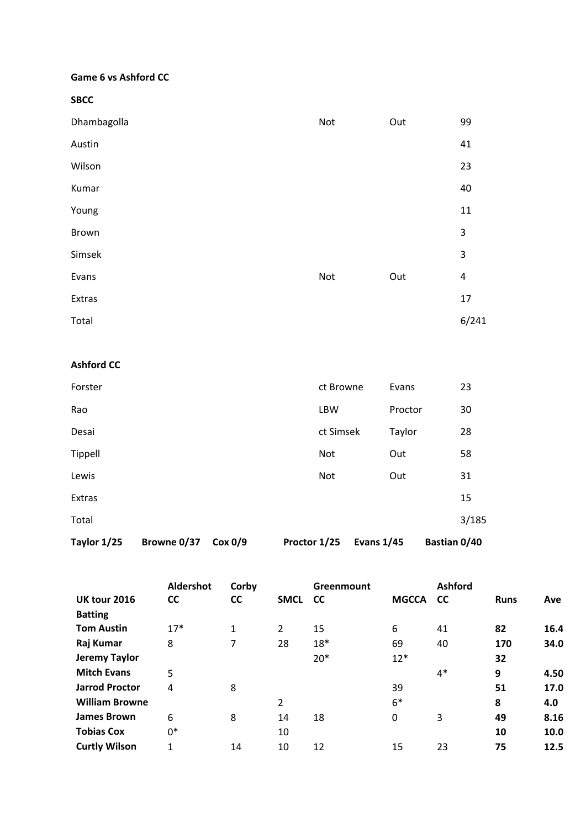### **Game 6 vs Ashford CC**

**SBCC** 

| Dhambagolla | Not | Out | 99                      |
|-------------|-----|-----|-------------------------|
| Austin      |     |     | 41                      |
| Wilson      |     |     | 23                      |
| Kumar       |     |     | 40                      |
| Young       |     |     | 11                      |
| Brown       |     |     | 3                       |
| Simsek      |     |     | 3                       |
| Evans       | Not | Out | $\overline{\mathbf{r}}$ |
| Extras      |     |     | 17                      |
| Total       |     |     | 6/241                   |

### **Ashford CC**

| Taylor 1/25 | Browne 0/37 | Cox 0/9 | Proctor 1/25 |            | <b>Evans 1/45</b> | Bastian 0/40 |       |
|-------------|-------------|---------|--------------|------------|-------------------|--------------|-------|
| Total       |             |         |              |            |                   |              | 3/185 |
| Extras      |             |         |              |            |                   |              | 15    |
| Lewis       |             |         |              | Not        | Out               |              | 31    |
| Tippell     |             |         |              | Not        | Out               |              | 58    |
| Desai       |             |         |              | ct Simsek  | Taylor            |              | 28    |
| Rao         |             |         |              | <b>LBW</b> | Proctor           |              | 30    |
| Forster     |             |         |              | ct Browne  | Evans             |              | 23    |

|                       | Aldershot | Corby        |                | Greenmount |              | <b>Ashford</b> |             |      |
|-----------------------|-----------|--------------|----------------|------------|--------------|----------------|-------------|------|
| <b>UK tour 2016</b>   | <b>CC</b> | <b>CC</b>    | <b>SMCL</b>    | <b>CC</b>  | <b>MGCCA</b> | <b>CC</b>      | <b>Runs</b> | Ave  |
| <b>Batting</b>        |           |              |                |            |              |                |             |      |
| <b>Tom Austin</b>     | $17*$     | $\mathbf{1}$ | 2              | 15         | 6            | 41             | 82          | 16.4 |
| Raj Kumar             | 8         | 7            | 28             | $18*$      | 69           | 40             | 170         | 34.0 |
| <b>Jeremy Taylor</b>  |           |              |                | $20*$      | $12*$        |                | 32          |      |
| <b>Mitch Evans</b>    | 5         |              |                |            |              | $4*$           | 9           | 4.50 |
| <b>Jarrod Proctor</b> | 4         | 8            |                |            | 39           |                | 51          | 17.0 |
| <b>William Browne</b> |           |              | $\overline{2}$ |            | $6*$         |                | 8           | 4.0  |
| <b>James Brown</b>    | 6         | 8            | 14             | 18         | 0            | 3              | 49          | 8.16 |
| <b>Tobias Cox</b>     | $0*$      |              | 10             |            |              |                | 10          | 10.0 |
| <b>Curtly Wilson</b>  | 1         | 14           | 10             | 12         | 15           | 23             | 75          | 12.5 |